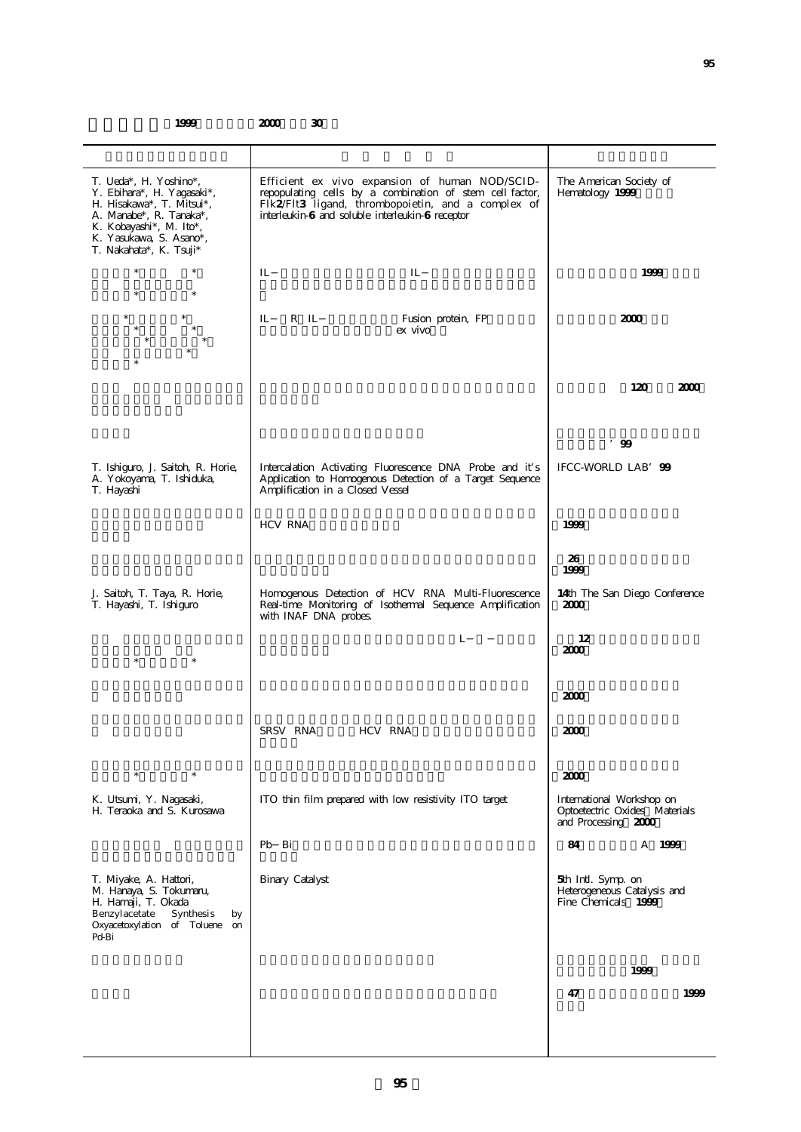## 1999 **2000** 30

| T. Ueda*, H. Yoshino*,<br>Y. Ebihara*, H. Yagasaki*,<br>H. Hisakawa*, T. Mitsui*,<br>A. Manabe*, R. Tanaka*,<br>K. Kobayashi*, M. Ito*,<br>K. Yasukawa, S. Asano*,<br>T. Nakahata*, K. Tsuji* | Efficient ex vivo expansion of human NOD/SCID-<br>repopulating cells by a combination of stem cell factor,<br>Flk2/Flt3 ligand, thrombopoietin, and a complex of<br>interleukin-6 and soluble interleukin-6 receptor | The American Society of<br>Hematology 1999                                        |
|-----------------------------------------------------------------------------------------------------------------------------------------------------------------------------------------------|----------------------------------------------------------------------------------------------------------------------------------------------------------------------------------------------------------------------|-----------------------------------------------------------------------------------|
| $\ast$<br>$\ast$<br>$\ast$<br>$\ast$                                                                                                                                                          | IL<br>IL                                                                                                                                                                                                             | 1999                                                                              |
| $^{\ast}$<br>*                                                                                                                                                                                | IL<br>R IL<br>Fusion protein, FP<br>ex vivo                                                                                                                                                                          | 2000                                                                              |
|                                                                                                                                                                                               |                                                                                                                                                                                                                      | 120<br>2000                                                                       |
|                                                                                                                                                                                               |                                                                                                                                                                                                                      | $'$ 99                                                                            |
| T. Ishiguro, J. Saitoh, R. Horie,<br>A. Yokoyama, T. Ishiduka,<br>T. Hayashi                                                                                                                  | Intercalation Activating Fluorescence DNA Probe and it's<br>Application to Homogenous Detection of a Target Sequence<br>Amplification in a Closed Vessel                                                             | IFCC-WORLD LAB' 99                                                                |
|                                                                                                                                                                                               | <b>HCV RNA</b>                                                                                                                                                                                                       | 1999                                                                              |
|                                                                                                                                                                                               |                                                                                                                                                                                                                      | 26<br>1999                                                                        |
| J. Saitoh, T. Taya, R. Horie,<br>T. Hayashi, T. Ishiguro                                                                                                                                      | Homogenous Detection of HCV RNA Multi-Fluorescence<br>Real-time Monitoring of Isothermal Sequence Amplification<br>with INAF DNA probes.                                                                             | 14th The San Diego Conference<br>2000                                             |
| $\ast$                                                                                                                                                                                        | L                                                                                                                                                                                                                    | 12<br>2000                                                                        |
|                                                                                                                                                                                               |                                                                                                                                                                                                                      | 2000                                                                              |
|                                                                                                                                                                                               | SRSV RNA<br>HCV RNA                                                                                                                                                                                                  | 2000                                                                              |
| $\ast$<br>$\ast$                                                                                                                                                                              |                                                                                                                                                                                                                      | 2000                                                                              |
| K. Utsumi, Y. Nagasaki,<br>H. Teraoka and S. Kurosawa                                                                                                                                         | ITO thin film prepared with low resistivity ITO target                                                                                                                                                               | International Workshop on<br>Optoetectric Oxides Materials<br>and Processing 2000 |
|                                                                                                                                                                                               | Pb Bi                                                                                                                                                                                                                | 84<br>A 1999                                                                      |
| T. Miyake, A. Hattori,<br>M. Hanaya, S. Tokumaru,<br>H. Hamaji, T. Okada<br>Benzylacetate<br>Synthesis<br>by<br>Oxyacetoxylation of Toluene<br>on<br>Pd-Bi                                    | <b>Binary Catalyst</b>                                                                                                                                                                                               | 5th Intl. Symp. on<br>Heterogeneous Catalysis and<br>Fine Chemicals 1999          |
|                                                                                                                                                                                               |                                                                                                                                                                                                                      | 1999                                                                              |
|                                                                                                                                                                                               |                                                                                                                                                                                                                      | 47<br>1999                                                                        |
|                                                                                                                                                                                               |                                                                                                                                                                                                                      |                                                                                   |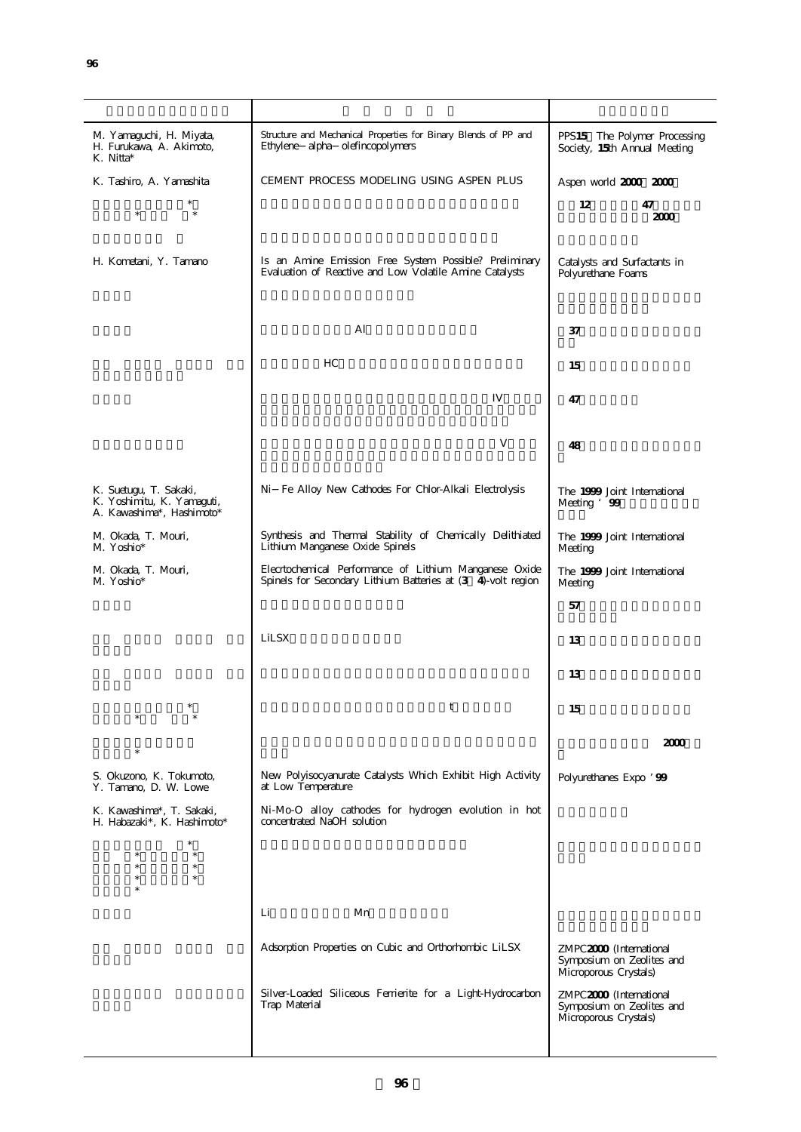**96**

| M. Yamaguchi, H. Miyata,<br>H. Furukawa, A. Akimoto,<br>K. Nitta*                 | Structure and Mechanical Properties for Binary Blends of PP and<br>Ethylene alpha olefincopolymers                     | PPS15 The Polymer Processing<br>Society, 15th Annual Meeting                  |
|-----------------------------------------------------------------------------------|------------------------------------------------------------------------------------------------------------------------|-------------------------------------------------------------------------------|
| K. Tashiro, A. Yamashita                                                          | CEMENT PROCESS MODELING USING ASPEN PLUS                                                                               | Aspen world 2000 2000                                                         |
| $\ast$<br>$\ast$                                                                  |                                                                                                                        | 12<br>47<br>2000                                                              |
| H. Kometani, Y. Tamano                                                            | Is an Amine Emission Free System Possible? Preliminary<br>Evaluation of Reactive and Low Volatile Amine Catalysts      | Catalysts and Surfactants in<br>Polyurethane Foams                            |
|                                                                                   | Al                                                                                                                     | 37                                                                            |
|                                                                                   | HC                                                                                                                     | 15                                                                            |
|                                                                                   | IV                                                                                                                     | 47                                                                            |
|                                                                                   | V                                                                                                                      | 48                                                                            |
| K. Suetugu, T. Sakaki,<br>K. Yoshimitu, K. Yamaguti,<br>A. Kawashima*, Hashimoto* | Ni Fe Alloy New Cathodes For Chlor-Alkali Electrolysis                                                                 | The 1999 Joint International<br>Meeting '99                                   |
| M. Okada, T. Mouri,<br>M. Yoshio*                                                 | Synthesis and Thermal Stability of Chemically Delithiated<br>Lithium Manganese Oxide Spinels                           | The 1999 Joint International<br>Meeting                                       |
| M. Okada, T. Mouri,<br>M. Yoshio*                                                 | Elecrtochemical Performance of Lithium Manganese Oxide<br>Spinels for Secondary Lithium Batteries at (3 4)-volt region | The 1999 Joint International<br>Meeting                                       |
|                                                                                   |                                                                                                                        | 57                                                                            |
|                                                                                   | LiLSX                                                                                                                  | 13                                                                            |
|                                                                                   |                                                                                                                        | 13                                                                            |
|                                                                                   | t                                                                                                                      | 15                                                                            |
|                                                                                   |                                                                                                                        | 2000                                                                          |
| S. Okuzono, K. Tokumoto,<br>Y. Tamano, D. W. Lowe                                 | New Polyisocyanurate Catalysts Which Exhibit High Activity<br>at Low Temperature                                       | Polyurethanes Expo ' 99                                                       |
| K. Kawashima*, T. Sakaki,<br>H. Habazaki*, K. Hashimoto*                          | Ni-Mo-O alloy cathodes for hydrogen evolution in hot<br>concentrated NaOH solution                                     |                                                                               |
| *.<br>$\ast$<br>$\ast$<br>$\ast$<br>$\ast$<br>$\ast$<br>$\ast$<br>×.              |                                                                                                                        |                                                                               |
|                                                                                   | Li<br>Mn                                                                                                               |                                                                               |
|                                                                                   | Adsorption Properties on Cubic and Orthorhombic LiLSX                                                                  | ZMPC2000 (International<br>Symposium on Zeolites and<br>Microporous Crystals) |
|                                                                                   | Silver-Loaded Siliceous Ferrierite for a Light-Hydrocarbon<br>Trap Material                                            | ZMPC2000 (International<br>Symposium on Zeolites and<br>Microporous Crystals) |
|                                                                                   |                                                                                                                        |                                                                               |